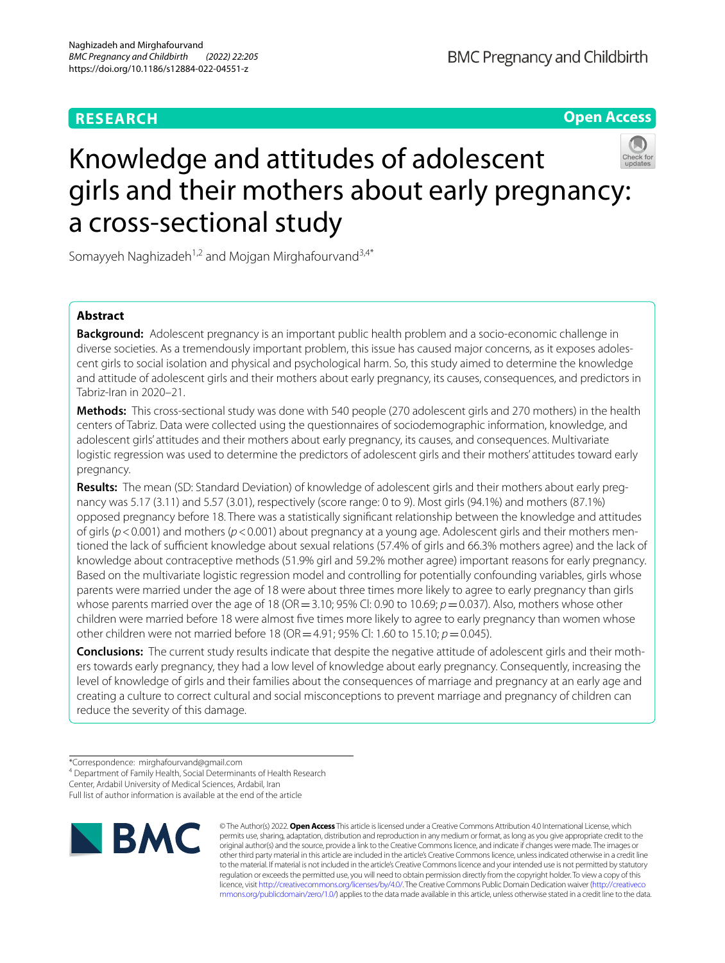# **RESEARCH**

**Open Access**

# Knowledge and attitudes of adolescent girls and their mothers about early pregnancy: a cross-sectional study

Somayyeh Naghizadeh<sup>1,2</sup> and Mojgan Mirghafourvand<sup>3,4\*</sup>

# **Abstract**

**Background:** Adolescent pregnancy is an important public health problem and a socio-economic challenge in diverse societies. As a tremendously important problem, this issue has caused major concerns, as it exposes adolescent girls to social isolation and physical and psychological harm. So, this study aimed to determine the knowledge and attitude of adolescent girls and their mothers about early pregnancy, its causes, consequences, and predictors in Tabriz-Iran in 2020–21.

**Methods:** This cross-sectional study was done with 540 people (270 adolescent girls and 270 mothers) in the health centers of Tabriz. Data were collected using the questionnaires of sociodemographic information, knowledge, and adolescent girls' attitudes and their mothers about early pregnancy, its causes, and consequences. Multivariate logistic regression was used to determine the predictors of adolescent girls and their mothers' attitudes toward early pregnancy.

**Results:** The mean (SD: Standard Deviation) of knowledge of adolescent girls and their mothers about early pregnancy was 5.17 (3.11) and 5.57 (3.01), respectively (score range: 0 to 9). Most girls (94.1%) and mothers (87.1%) opposed pregnancy before 18. There was a statistically signifcant relationship between the knowledge and attitudes of girls (*p*<0.001) and mothers (*p*<0.001) about pregnancy at a young age. Adolescent girls and their mothers mentioned the lack of sufficient knowledge about sexual relations (57.4% of girls and 66.3% mothers agree) and the lack of knowledge about contraceptive methods (51.9% girl and 59.2% mother agree) important reasons for early pregnancy. Based on the multivariate logistic regression model and controlling for potentially confounding variables, girls whose parents were married under the age of 18 were about three times more likely to agree to early pregnancy than girls whose parents married over the age of 18 (OR = 3.10; 95% Cl: 0.90 to 10.69;  $p = 0.037$ ). Also, mothers whose other children were married before 18 were almost fve times more likely to agree to early pregnancy than women whose other children were not married before 18 (OR=4.91; 95% Cl: 1.60 to 15.10; *p*=0.045).

**Conclusions:** The current study results indicate that despite the negative attitude of adolescent girls and their mothers towards early pregnancy, they had a low level of knowledge about early pregnancy. Consequently, increasing the level of knowledge of girls and their families about the consequences of marriage and pregnancy at an early age and creating a culture to correct cultural and social misconceptions to prevent marriage and pregnancy of children can reduce the severity of this damage.

Full list of author information is available at the end of the article



© The Author(s) 2022. **Open Access** This article is licensed under a Creative Commons Attribution 4.0 International License, which permits use, sharing, adaptation, distribution and reproduction in any medium or format, as long as you give appropriate credit to the original author(s) and the source, provide a link to the Creative Commons licence, and indicate if changes were made. The images or other third party material in this article are included in the article's Creative Commons licence, unless indicated otherwise in a credit line to the material. If material is not included in the article's Creative Commons licence and your intended use is not permitted by statutory regulation or exceeds the permitted use, you will need to obtain permission directly from the copyright holder. To view a copy of this licence, visit [http://creativecommons.org/licenses/by/4.0/.](http://creativecommons.org/licenses/by/4.0/) The Creative Commons Public Domain Dedication waiver ([http://creativeco](http://creativecommons.org/publicdomain/zero/1.0/) [mmons.org/publicdomain/zero/1.0/](http://creativecommons.org/publicdomain/zero/1.0/)) applies to the data made available in this article, unless otherwise stated in a credit line to the data.

<sup>\*</sup>Correspondence: mirghafourvand@gmail.com

<sup>&</sup>lt;sup>4</sup> Department of Family Health, Social Determinants of Health Research

Center, Ardabil University of Medical Sciences, Ardabil, Iran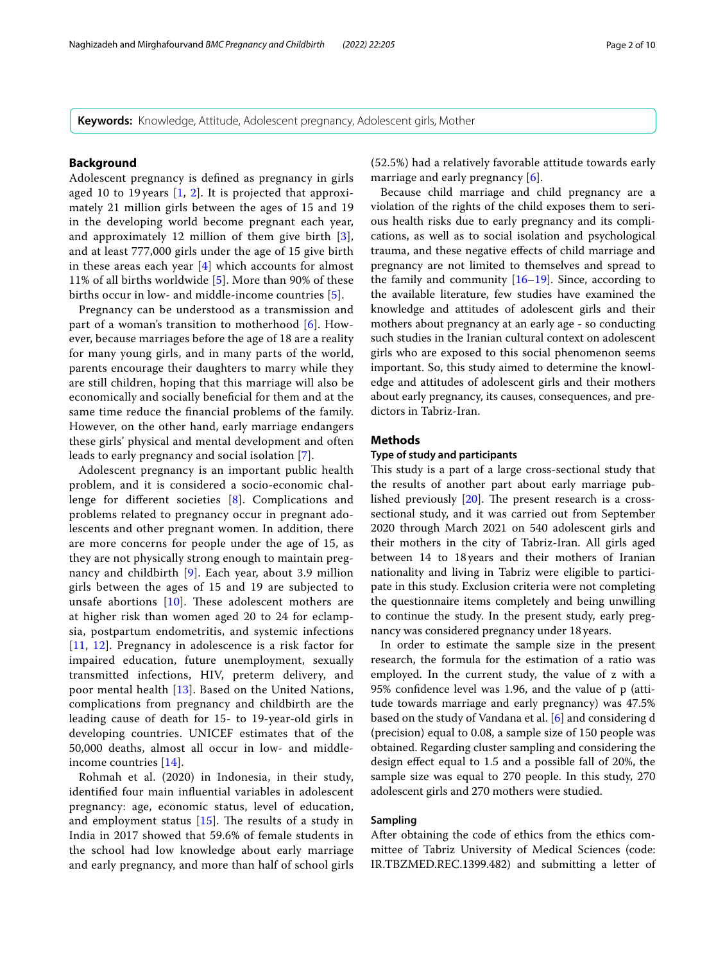**Keywords:** Knowledge, Attitude, Adolescent pregnancy, Adolescent girls, Mother

#### **Background**

Adolescent pregnancy is defned as pregnancy in girls aged 10 to 19 years [[1,](#page-9-0) [2\]](#page-9-1). It is projected that approximately 21 million girls between the ages of 15 and 19 in the developing world become pregnant each year, and approximately 12 million of them give birth [[3\]](#page-9-2), and at least 777,000 girls under the age of 15 give birth in these areas each year [[4\]](#page-9-3) which accounts for almost 11% of all births worldwide [\[5\]](#page-9-4). More than 90% of these births occur in low- and middle-income countries [\[5](#page-9-4)].

Pregnancy can be understood as a transmission and part of a woman's transition to motherhood [[6\]](#page-9-5). However, because marriages before the age of 18 are a reality for many young girls, and in many parts of the world, parents encourage their daughters to marry while they are still children, hoping that this marriage will also be economically and socially benefcial for them and at the same time reduce the fnancial problems of the family. However, on the other hand, early marriage endangers these girls' physical and mental development and often leads to early pregnancy and social isolation [[7\]](#page-9-6).

Adolescent pregnancy is an important public health problem, and it is considered a socio-economic challenge for diferent societies [[8\]](#page-9-7). Complications and problems related to pregnancy occur in pregnant adolescents and other pregnant women. In addition, there are more concerns for people under the age of 15, as they are not physically strong enough to maintain pregnancy and childbirth [\[9](#page-9-8)]. Each year, about 3.9 million girls between the ages of 15 and 19 are subjected to unsafe abortions  $[10]$  $[10]$ . These adolescent mothers are at higher risk than women aged 20 to 24 for eclampsia, postpartum endometritis, and systemic infections [[11](#page-9-10), [12\]](#page-9-11). Pregnancy in adolescence is a risk factor for impaired education, future unemployment, sexually transmitted infections, HIV, preterm delivery, and poor mental health [[13](#page-9-12)]. Based on the United Nations, complications from pregnancy and childbirth are the leading cause of death for 15- to 19-year-old girls in developing countries. UNICEF estimates that of the 50,000 deaths, almost all occur in low- and middleincome countries [\[14\]](#page-9-13).

Rohmah et al. (2020) in Indonesia, in their study, identifed four main infuential variables in adolescent pregnancy: age, economic status, level of education, and employment status  $[15]$ . The results of a study in India in 2017 showed that 59.6% of female students in the school had low knowledge about early marriage and early pregnancy, and more than half of school girls (52.5%) had a relatively favorable attitude towards early marriage and early pregnancy [[6\]](#page-9-5).

Because child marriage and child pregnancy are a violation of the rights of the child exposes them to serious health risks due to early pregnancy and its complications, as well as to social isolation and psychological trauma, and these negative efects of child marriage and pregnancy are not limited to themselves and spread to the family and community  $[16–19]$  $[16–19]$  $[16–19]$  $[16–19]$ . Since, according to the available literature, few studies have examined the knowledge and attitudes of adolescent girls and their mothers about pregnancy at an early age - so conducting such studies in the Iranian cultural context on adolescent girls who are exposed to this social phenomenon seems important. So, this study aimed to determine the knowledge and attitudes of adolescent girls and their mothers about early pregnancy, its causes, consequences, and predictors in Tabriz-Iran.

#### **Methods**

#### **Type of study and participants**

This study is a part of a large cross-sectional study that the results of another part about early marriage published previously  $[20]$  $[20]$  $[20]$ . The present research is a crosssectional study, and it was carried out from September 2020 through March 2021 on 540 adolescent girls and their mothers in the city of Tabriz-Iran. All girls aged between 14 to 18years and their mothers of Iranian nationality and living in Tabriz were eligible to participate in this study. Exclusion criteria were not completing the questionnaire items completely and being unwilling to continue the study. In the present study, early pregnancy was considered pregnancy under 18years.

In order to estimate the sample size in the present research, the formula for the estimation of a ratio was employed. In the current study, the value of z with a 95% confdence level was 1.96, and the value of p (attitude towards marriage and early pregnancy) was 47.5% based on the study of Vandana et al. [[6\]](#page-9-5) and considering d (precision) equal to 0.08, a sample size of 150 people was obtained. Regarding cluster sampling and considering the design efect equal to 1.5 and a possible fall of 20%, the sample size was equal to 270 people. In this study, 270 adolescent girls and 270 mothers were studied.

#### **Sampling**

After obtaining the code of ethics from the ethics committee of Tabriz University of Medical Sciences (code: IR.TBZMED.REC.1399.482) and submitting a letter of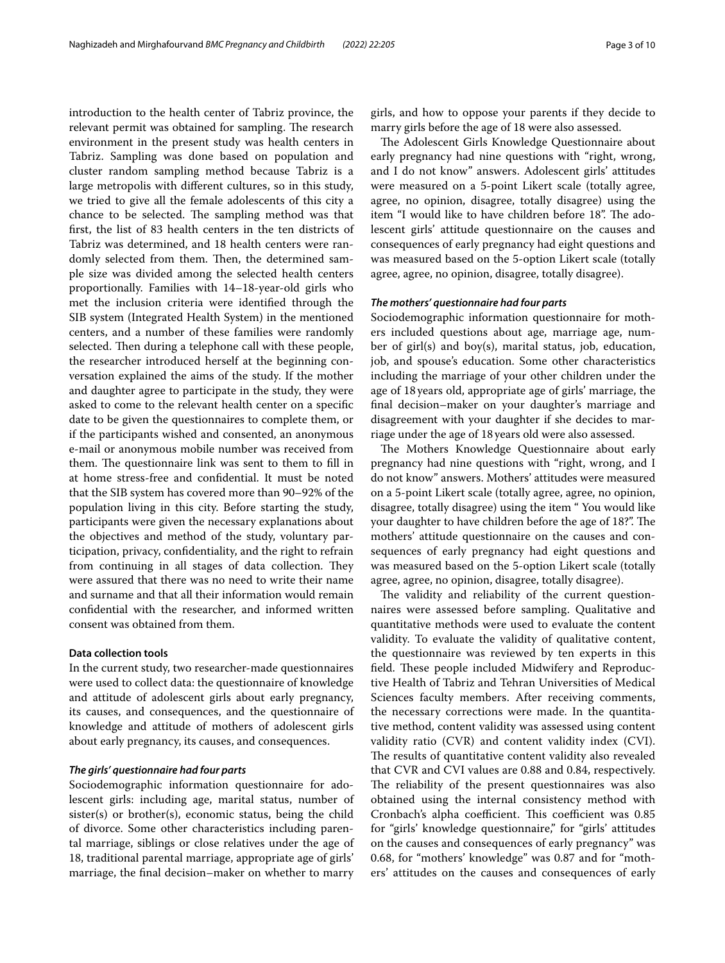introduction to the health center of Tabriz province, the relevant permit was obtained for sampling. The research environment in the present study was health centers in Tabriz. Sampling was done based on population and cluster random sampling method because Tabriz is a large metropolis with diferent cultures, so in this study, we tried to give all the female adolescents of this city a chance to be selected. The sampling method was that frst, the list of 83 health centers in the ten districts of Tabriz was determined, and 18 health centers were randomly selected from them. Then, the determined sample size was divided among the selected health centers proportionally. Families with 14–18-year-old girls who met the inclusion criteria were identifed through the SIB system (Integrated Health System) in the mentioned centers, and a number of these families were randomly selected. Then during a telephone call with these people, the researcher introduced herself at the beginning conversation explained the aims of the study. If the mother and daughter agree to participate in the study, they were asked to come to the relevant health center on a specifc date to be given the questionnaires to complete them, or if the participants wished and consented, an anonymous e-mail or anonymous mobile number was received from them. The questionnaire link was sent to them to fill in at home stress-free and confdential. It must be noted that the SIB system has covered more than 90–92% of the population living in this city. Before starting the study, participants were given the necessary explanations about the objectives and method of the study, voluntary participation, privacy, confdentiality, and the right to refrain from continuing in all stages of data collection. They were assured that there was no need to write their name and surname and that all their information would remain confdential with the researcher, and informed written

#### **Data collection tools**

In the current study, two researcher-made questionnaires were used to collect data: the questionnaire of knowledge and attitude of adolescent girls about early pregnancy, its causes, and consequences, and the questionnaire of knowledge and attitude of mothers of adolescent girls about early pregnancy, its causes, and consequences.

#### *The girls' questionnaire had four parts*

consent was obtained from them.

Sociodemographic information questionnaire for adolescent girls: including age, marital status, number of sister(s) or brother(s), economic status, being the child of divorce. Some other characteristics including parental marriage, siblings or close relatives under the age of 18, traditional parental marriage, appropriate age of girls' marriage, the fnal decision–maker on whether to marry girls, and how to oppose your parents if they decide to marry girls before the age of 18 were also assessed.

The Adolescent Girls Knowledge Questionnaire about early pregnancy had nine questions with "right, wrong, and I do not know" answers. Adolescent girls' attitudes were measured on a 5-point Likert scale (totally agree, agree, no opinion, disagree, totally disagree) using the item "I would like to have children before 18". The adolescent girls' attitude questionnaire on the causes and consequences of early pregnancy had eight questions and was measured based on the 5-option Likert scale (totally agree, agree, no opinion, disagree, totally disagree).

#### *The mothers' questionnaire had four parts*

Sociodemographic information questionnaire for mothers included questions about age, marriage age, number of girl(s) and boy(s), marital status, job, education, job, and spouse's education. Some other characteristics including the marriage of your other children under the age of 18 years old, appropriate age of girls' marriage, the fnal decision–maker on your daughter's marriage and disagreement with your daughter if she decides to marriage under the age of 18years old were also assessed.

The Mothers Knowledge Questionnaire about early pregnancy had nine questions with "right, wrong, and I do not know" answers. Mothers' attitudes were measured on a 5-point Likert scale (totally agree, agree, no opinion, disagree, totally disagree) using the item " You would like your daughter to have children before the age of 18?". The mothers' attitude questionnaire on the causes and consequences of early pregnancy had eight questions and was measured based on the 5-option Likert scale (totally agree, agree, no opinion, disagree, totally disagree).

The validity and reliability of the current questionnaires were assessed before sampling. Qualitative and quantitative methods were used to evaluate the content validity. To evaluate the validity of qualitative content, the questionnaire was reviewed by ten experts in this field. These people included Midwifery and Reproductive Health of Tabriz and Tehran Universities of Medical Sciences faculty members. After receiving comments, the necessary corrections were made. In the quantitative method, content validity was assessed using content validity ratio (CVR) and content validity index (CVI). The results of quantitative content validity also revealed that CVR and CVI values are 0.88 and 0.84, respectively. The reliability of the present questionnaires was also obtained using the internal consistency method with Cronbach's alpha coefficient. This coefficient was 0.85 for "girls' knowledge questionnaire," for "girls' attitudes on the causes and consequences of early pregnancy" was 0.68, for "mothers' knowledge" was 0.87 and for "mothers' attitudes on the causes and consequences of early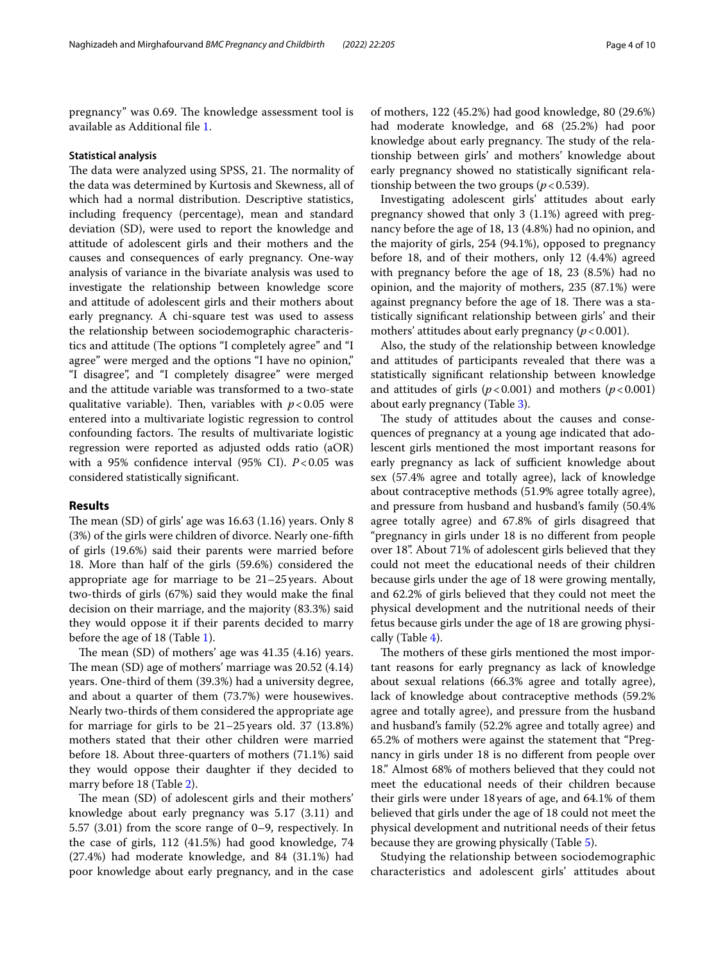pregnancy" was 0.69. The knowledge assessment tool is available as Additional fle [1.](#page-8-0)

#### **Statistical analysis**

The data were analyzed using SPSS, 21. The normality of the data was determined by Kurtosis and Skewness, all of which had a normal distribution. Descriptive statistics, including frequency (percentage), mean and standard deviation (SD), were used to report the knowledge and attitude of adolescent girls and their mothers and the causes and consequences of early pregnancy. One-way analysis of variance in the bivariate analysis was used to investigate the relationship between knowledge score and attitude of adolescent girls and their mothers about early pregnancy. A chi-square test was used to assess the relationship between sociodemographic characteristics and attitude (The options "I completely agree" and "I agree" were merged and the options "I have no opinion," "I disagree", and "I completely disagree" were merged and the attitude variable was transformed to a two-state qualitative variable). Then, variables with  $p < 0.05$  were entered into a multivariate logistic regression to control confounding factors. The results of multivariate logistic regression were reported as adjusted odds ratio (aOR) with a 95% confidence interval (95% CI). *P*<0.05 was considered statistically signifcant.

#### **Results**

The mean  $(SD)$  of girls' age was 16.63  $(1.16)$  years. Only 8 (3%) of the girls were children of divorce. Nearly one-ffth of girls (19.6%) said their parents were married before 18. More than half of the girls (59.6%) considered the appropriate age for marriage to be 21–25years. About two-thirds of girls (67%) said they would make the fnal decision on their marriage, and the majority (83.3%) said they would oppose it if their parents decided to marry before the age of 18 (Table [1](#page-4-0)).

The mean  $(SD)$  of mothers' age was  $41.35$   $(4.16)$  years. The mean  $(SD)$  age of mothers' marriage was  $20.52$   $(4.14)$ years. One-third of them (39.3%) had a university degree, and about a quarter of them (73.7%) were housewives. Nearly two-thirds of them considered the appropriate age for marriage for girls to be 21–25years old. 37 (13.8%) mothers stated that their other children were married before 18. About three-quarters of mothers (71.1%) said they would oppose their daughter if they decided to marry before 18 (Table [2](#page-5-0)).

The mean (SD) of adolescent girls and their mothers' knowledge about early pregnancy was 5.17 (3.11) and 5.57 (3.01) from the score range of 0–9, respectively. In the case of girls, 112 (41.5%) had good knowledge, 74 (27.4%) had moderate knowledge, and 84 (31.1%) had poor knowledge about early pregnancy, and in the case

of mothers, 122 (45.2%) had good knowledge, 80 (29.6%) had moderate knowledge, and 68 (25.2%) had poor knowledge about early pregnancy. The study of the relationship between girls' and mothers' knowledge about early pregnancy showed no statistically signifcant relationship between the two groups ( $p < 0.539$ ).

Investigating adolescent girls' attitudes about early pregnancy showed that only 3 (1.1%) agreed with pregnancy before the age of 18, 13 (4.8%) had no opinion, and the majority of girls, 254 (94.1%), opposed to pregnancy before 18, and of their mothers, only 12 (4.4%) agreed with pregnancy before the age of 18, 23 (8.5%) had no opinion, and the majority of mothers, 235 (87.1%) were against pregnancy before the age of 18. There was a statistically signifcant relationship between girls' and their mothers' attitudes about early pregnancy  $(p < 0.001)$ .

Also, the study of the relationship between knowledge and attitudes of participants revealed that there was a statistically signifcant relationship between knowledge and attitudes of girls  $(p < 0.001)$  and mothers  $(p < 0.001)$ about early pregnancy (Table [3](#page-5-1)).

The study of attitudes about the causes and consequences of pregnancy at a young age indicated that adolescent girls mentioned the most important reasons for early pregnancy as lack of sufficient knowledge about sex (57.4% agree and totally agree), lack of knowledge about contraceptive methods (51.9% agree totally agree), and pressure from husband and husband's family (50.4% agree totally agree) and 67.8% of girls disagreed that "pregnancy in girls under 18 is no diferent from people over 18". About 71% of adolescent girls believed that they could not meet the educational needs of their children because girls under the age of 18 were growing mentally, and 62.2% of girls believed that they could not meet the physical development and the nutritional needs of their fetus because girls under the age of 18 are growing physically (Table [4](#page-6-0)).

The mothers of these girls mentioned the most important reasons for early pregnancy as lack of knowledge about sexual relations (66.3% agree and totally agree), lack of knowledge about contraceptive methods (59.2% agree and totally agree), and pressure from the husband and husband's family (52.2% agree and totally agree) and 65.2% of mothers were against the statement that "Pregnancy in girls under 18 is no diferent from people over 18." Almost 68% of mothers believed that they could not meet the educational needs of their children because their girls were under 18years of age, and 64.1% of them believed that girls under the age of 18 could not meet the physical development and nutritional needs of their fetus because they are growing physically (Table [5](#page-6-1)).

Studying the relationship between sociodemographic characteristics and adolescent girls' attitudes about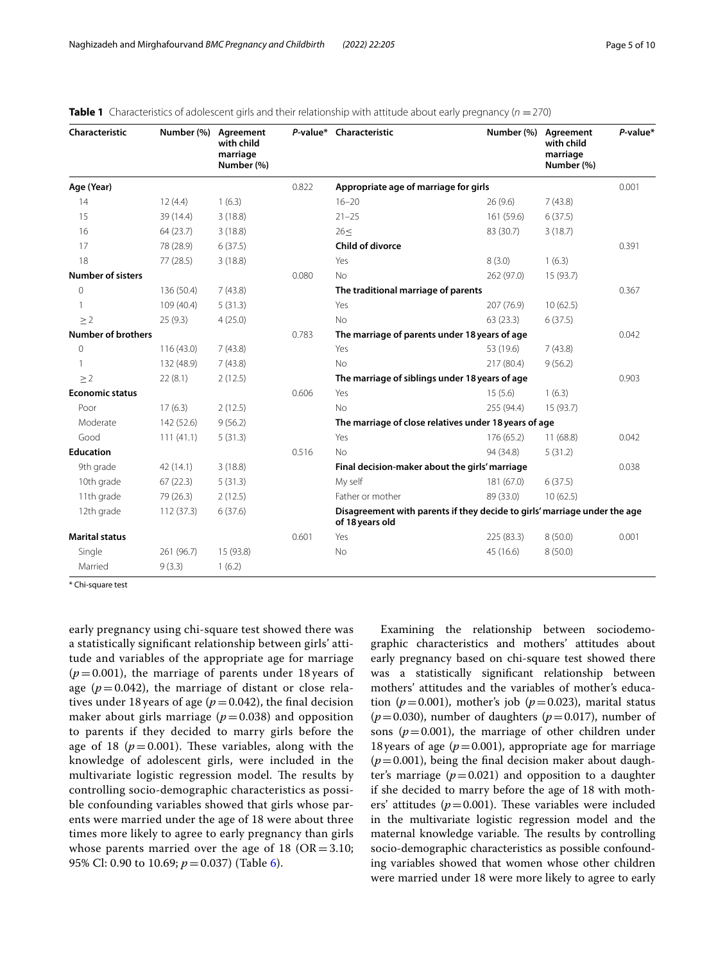| Characteristic            | Number (%) | Agreement<br>with child<br>marriage<br>Number (%) |       | P-value* Characteristic                                                                      | Number (%) | Agreement<br>with child<br>marriage<br>Number (%) | $P$ -value* |
|---------------------------|------------|---------------------------------------------------|-------|----------------------------------------------------------------------------------------------|------------|---------------------------------------------------|-------------|
| Age (Year)                |            |                                                   | 0.822 | Appropriate age of marriage for girls                                                        |            |                                                   | 0.001       |
| 14                        | 12(4.4)    | 1(6.3)                                            |       | $16 - 20$                                                                                    | 26 (9.6)   | 7(43.8)                                           |             |
| 15                        | 39 (14.4)  | 3(18.8)                                           |       | $21 - 25$                                                                                    | 161 (59.6) | 6(37.5)                                           |             |
| 16                        | 64 (23.7)  | 3(18.8)                                           |       | 26<                                                                                          | 83 (30.7)  | 3(18.7)                                           |             |
| 17                        | 78 (28.9)  | 6(37.5)                                           |       | <b>Child of divorce</b>                                                                      |            |                                                   | 0.391       |
| 18                        | 77(28.5)   | 3(18.8)                                           |       | Yes                                                                                          | 8(3.0)     | 1(6.3)                                            |             |
| <b>Number of sisters</b>  |            |                                                   | 0.080 | N <sub>o</sub>                                                                               | 262 (97.0) | 15 (93.7)                                         |             |
| $\overline{0}$            | 136 (50.4) | 7(43.8)                                           |       | The traditional marriage of parents                                                          |            |                                                   | 0.367       |
|                           | 109 (40.4) | 5(31.3)                                           |       | Yes                                                                                          | 207 (76.9) | 10(62.5)                                          |             |
| $\geq$ 2                  | 25(9.3)    | 4(25.0)                                           |       | <b>No</b>                                                                                    | 63(23.3)   | 6(37.5)                                           |             |
| <b>Number of brothers</b> |            |                                                   | 0.783 | The marriage of parents under 18 years of age                                                |            |                                                   | 0.042       |
| $\mathbf{0}$              | 116(43.0)  | 7(43.8)                                           |       | Yes                                                                                          | 53 (19.6)  | 7(43.8)                                           |             |
| $\mathbf{1}$              | 132 (48.9) | 7(43.8)                                           |       | <b>No</b>                                                                                    | 217 (80.4) | 9(56.2)                                           |             |
| $\geq$ 2                  | 22(8.1)    | 2(12.5)                                           |       | The marriage of siblings under 18 years of age                                               |            |                                                   | 0.903       |
| <b>Economic status</b>    |            |                                                   | 0.606 | Yes                                                                                          | 15(5.6)    | 1(6.3)                                            |             |
| Poor                      | 17(6.3)    | 2(12.5)                                           |       | <b>No</b>                                                                                    | 255 (94.4) | 15 (93.7)                                         |             |
| Moderate                  | 142 (52.6) | 9(56.2)                                           |       | The marriage of close relatives under 18 years of age                                        |            |                                                   |             |
| Good                      | 111(41.1)  | 5(31.3)                                           |       | Yes                                                                                          | 176 (65.2) | 11(68.8)                                          | 0.042       |
| <b>Education</b>          |            |                                                   | 0.516 | No                                                                                           | 94 (34.8)  | 5(31.2)                                           |             |
| 9th grade                 | 42(14.1)   | 3(18.8)                                           |       | Final decision-maker about the girls' marriage                                               |            |                                                   | 0.038       |
| 10th grade                | 67(22.3)   | 5(31.3)                                           |       | My self                                                                                      | 181 (67.0) | 6(37.5)                                           |             |
| 11th grade                | 79 (26.3)  | 2(12.5)                                           |       | Father or mother                                                                             | 89 (33.0)  | 10(62.5)                                          |             |
| 12th grade                | 112(37.3)  | 6(37.6)                                           |       | Disagreement with parents if they decide to girls' marriage under the age<br>of 18 years old |            |                                                   |             |
| <b>Marital status</b>     |            |                                                   | 0.601 | Yes                                                                                          | 225 (83.3) | 8(50.0)                                           | 0.001       |
| Single                    | 261 (96.7) | 15 (93.8)                                         |       | No                                                                                           | 45 (16.6)  | 8(50.0)                                           |             |
| Married                   | 9(3.3)     | 1(6.2)                                            |       |                                                                                              |            |                                                   |             |

<span id="page-4-0"></span>**Table 1** Characteristics of adolescent girls and their relationship with attitude about early pregnancy ( $n = 270$ )

\* Chi-square test

early pregnancy using chi-square test showed there was a statistically signifcant relationship between girls' attitude and variables of the appropriate age for marriage  $(p=0.001)$ , the marriage of parents under 18 years of age ( $p = 0.042$ ), the marriage of distant or close relatives under 18 years of age ( $p = 0.042$ ), the final decision maker about girls marriage ( $p=0.038$ ) and opposition to parents if they decided to marry girls before the age of 18 ( $p = 0.001$ ). These variables, along with the knowledge of adolescent girls, were included in the multivariate logistic regression model. The results by controlling socio-demographic characteristics as possible confounding variables showed that girls whose parents were married under the age of 18 were about three times more likely to agree to early pregnancy than girls whose parents married over the age of 18 ( $OR = 3.10$ ; 95% Cl: 0.90 to 10.69; *p*=0.037) (Table [6](#page-7-0)).

Examining the relationship between sociodemographic characteristics and mothers' attitudes about early pregnancy based on chi-square test showed there was a statistically signifcant relationship between mothers' attitudes and the variables of mother's education ( $p=0.001$ ), mother's job ( $p=0.023$ ), marital status ( $p$ =0.030), number of daughters ( $p$ =0.017), number of sons ( $p=0.001$ ), the marriage of other children under 18 years of age  $(p=0.001)$ , appropriate age for marriage  $(p=0.001)$ , being the final decision maker about daughter's marriage  $(p=0.021)$  and opposition to a daughter if she decided to marry before the age of 18 with mothers' attitudes  $(p=0.001)$ . These variables were included in the multivariate logistic regression model and the maternal knowledge variable. The results by controlling socio-demographic characteristics as possible confounding variables showed that women whose other children were married under 18 were more likely to agree to early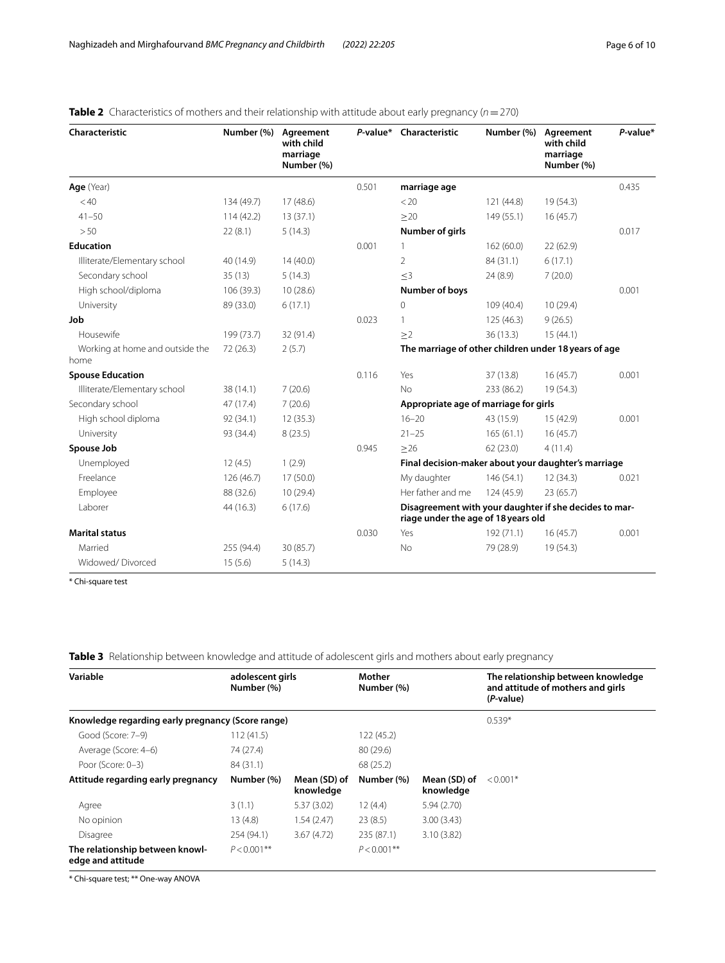| Characteristic                          | Number (%) | Agreement<br>with child<br>marriage<br>Number (%) | P-value* | Characteristic                                                                                | Number (%) | Agreement<br>with child<br>marriage<br>Number (%) | $P$ -value* |
|-----------------------------------------|------------|---------------------------------------------------|----------|-----------------------------------------------------------------------------------------------|------------|---------------------------------------------------|-------------|
| Age (Year)                              |            |                                                   | 0.501    | marriage age                                                                                  |            |                                                   | 0.435       |
| < 40                                    | 134 (49.7) | 17(48.6)                                          |          | < 20                                                                                          | 121(44.8)  | 19(54.3)                                          |             |
| $41 - 50$                               | 114(42.2)  | 13(37.1)                                          |          | >20                                                                                           | 149(55.1)  | 16(45.7)                                          |             |
| > 50                                    | 22(8.1)    | 5(14.3)                                           |          | Number of girls                                                                               |            |                                                   | 0.017       |
| <b>Education</b>                        |            |                                                   | 0.001    | 1                                                                                             | 162(60.0)  | 22(62.9)                                          |             |
| Illiterate/Elementary school            | 40 (14.9)  | 14(40.0)                                          |          | $\overline{2}$                                                                                | 84 (31.1)  | 6(17.1)                                           |             |
| Secondary school                        | 35(13)     | 5(14.3)                                           |          | $<$ 3                                                                                         | 24 (8.9)   | 7(20.0)                                           |             |
| High school/diploma                     | 106 (39.3) | 10(28.6)                                          |          | <b>Number of boys</b>                                                                         |            |                                                   | 0.001       |
| University                              | 89 (33.0)  | 6(17.1)                                           |          | 0                                                                                             | 109 (40.4) | 10(29.4)                                          |             |
| Job                                     |            |                                                   | 0.023    | 1                                                                                             | 125(46.3)  | 9(26.5)                                           |             |
| Housewife                               | 199 (73.7) | 32 (91.4)                                         |          | >2                                                                                            | 36 (13.3)  | 15(44.1)                                          |             |
| Working at home and outside the<br>home | 72(26.3)   | 2(5.7)                                            |          | The marriage of other children under 18 years of age                                          |            |                                                   |             |
| <b>Spouse Education</b>                 |            |                                                   | 0.116    | Yes                                                                                           | 37 (13.8)  | 16(45.7)                                          | 0.001       |
| Illiterate/Elementary school            | 38 (14.1)  | 7(20.6)                                           |          | <b>No</b>                                                                                     | 233 (86.2) | 19(54.3)                                          |             |
| Secondary school                        | 47 (17.4)  | 7(20.6)                                           |          | Appropriate age of marriage for girls                                                         |            |                                                   |             |
| High school diploma                     | 92 (34.1)  | 12(35.3)                                          |          | $16 - 20$                                                                                     | 43 (15.9)  | 15 (42.9)                                         | 0.001       |
| University                              | 93 (34.4)  | 8(23.5)                                           |          | $21 - 25$                                                                                     | 165(61.1)  | 16(45.7)                                          |             |
| Spouse Job                              |            |                                                   | 0.945    | $>26$                                                                                         | 62(23.0)   | 4(11.4)                                           |             |
| Unemployed                              | 12(4.5)    | 1(2.9)                                            |          | Final decision-maker about your daughter's marriage                                           |            |                                                   |             |
| Freelance                               | 126 (46.7) | 17(50.0)                                          |          | My daughter                                                                                   | 146(54.1)  | 12(34.3)                                          | 0.021       |
| Employee                                | 88 (32.6)  | 10(29.4)                                          |          | Her father and me                                                                             | 124 (45.9) | 23(65.7)                                          |             |
| Laborer                                 | 44 (16.3)  | 6(17.6)                                           |          | Disagreement with your daughter if she decides to mar-<br>riage under the age of 18 years old |            |                                                   |             |
| <b>Marital status</b>                   |            |                                                   | 0.030    | Yes                                                                                           | 192 (71.1) | 16(45.7)                                          | 0.001       |
| Married                                 | 255 (94.4) | 30 (85.7)                                         |          | No                                                                                            | 79 (28.9)  | 19 (54.3)                                         |             |
| Widowed/Divorced                        | 15(5.6)    | 5(14.3)                                           |          |                                                                                               |            |                                                   |             |

## <span id="page-5-0"></span>**Table 2** Characteristics of mothers and their relationship with attitude about early pregnancy (*n* = 270)

\* Chi-square test

## <span id="page-5-1"></span>**Table 3** Relationship between knowledge and attitude of adolescent girls and mothers about early pregnancy

| Variable                                             | adolescent girls<br>Number (%) |                           | Mother<br>Number (%) |                           | The relationship between knowledge<br>and attitude of mothers and girls<br>(P-value) |  |
|------------------------------------------------------|--------------------------------|---------------------------|----------------------|---------------------------|--------------------------------------------------------------------------------------|--|
| Knowledge regarding early pregnancy (Score range)    |                                |                           |                      |                           | $0.539*$                                                                             |  |
| Good (Score: 7-9)                                    | 112(41.5)                      |                           | 122 (45.2)           |                           |                                                                                      |  |
| Average (Score: 4-6)                                 | 74 (27.4)                      |                           | 80 (29.6)            |                           |                                                                                      |  |
| Poor (Score: 0-3)                                    | 84 (31.1)                      |                           | 68 (25.2)            |                           |                                                                                      |  |
| Attitude regarding early pregnancy                   | Number (%)                     | Mean (SD) of<br>knowledge | Number (%)           | Mean (SD) of<br>knowledge | $< 0.001*$                                                                           |  |
| Agree                                                | 3(1.1)                         | 5.37(3.02)                | 12(4.4)              | 5.94(2.70)                |                                                                                      |  |
| No opinion                                           | 13(4.8)                        | 1.54(2.47)                | 23(8.5)              | 3.00(3.43)                |                                                                                      |  |
| Disagree                                             | 254 (94.1)                     | 3.67(4.72)                | 235 (87.1)           | 3.10(3.82)                |                                                                                      |  |
| The relationship between knowl-<br>edge and attitude | $P < 0.001$ **                 |                           | $P < 0.001$ **       |                           |                                                                                      |  |

\* Chi-square test; \*\* One-way ANOVA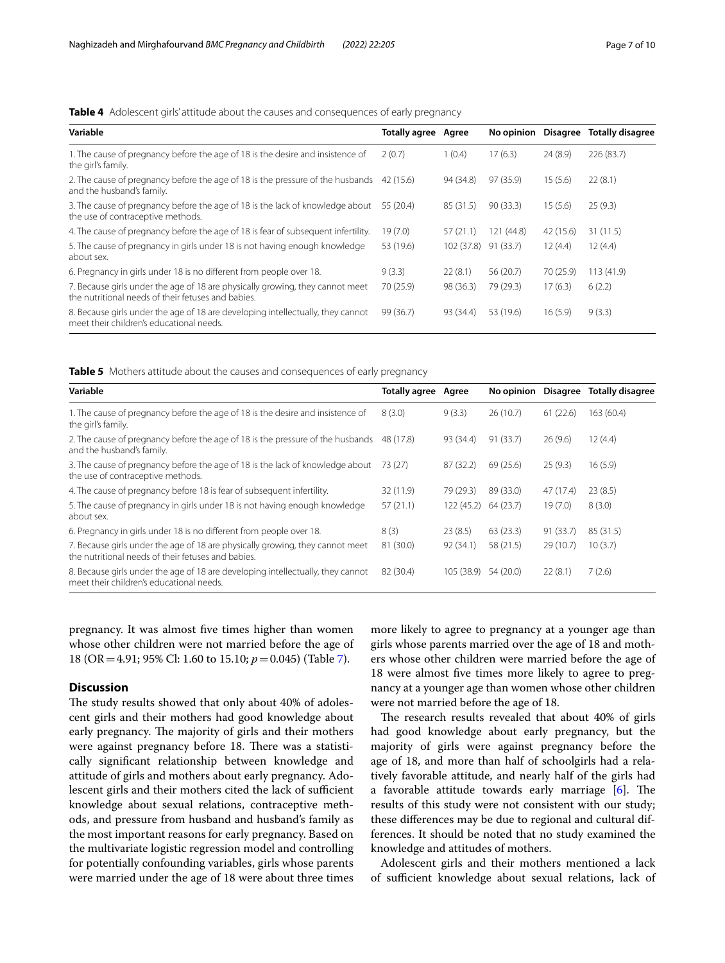#### <span id="page-6-0"></span>**Table 4** Adolescent girls' attitude about the causes and consequences of early pregnancy

| Variable                                                                                                                            | <b>Totally agree</b> Agree |            | No opinion | Disagree  | <b>Totally disagree</b> |
|-------------------------------------------------------------------------------------------------------------------------------------|----------------------------|------------|------------|-----------|-------------------------|
| 1. The cause of pregnancy before the age of 18 is the desire and insistence of<br>the girl's family.                                | 2(0.7)                     | 1(0.4)     | 17(6.3)    | 24(8.9)   | 226 (83.7)              |
| 2. The cause of pregnancy before the age of 18 is the pressure of the husbands<br>and the husband's family.                         | 42 (15.6)                  | 94 (34.8)  | 97 (35.9)  | 15(5.6)   | 22(8.1)                 |
| 3. The cause of pregnancy before the age of 18 is the lack of knowledge about<br>the use of contraceptive methods.                  | 55 (20.4)                  | 85 (31.5)  | 90(33.3)   | 15(5.6)   | 25(9.3)                 |
| 4. The cause of pregnancy before the age of 18 is fear of subsequent infertility.                                                   | 19 (7.0)                   | 57 (21.1)  | 121 (44.8) | 42 (15.6) | 31 (11.5)               |
| 5. The cause of pregnancy in girls under 18 is not having enough knowledge<br>about sex.                                            | 53 (19.6)                  | 102 (37.8) | 91 (33.7)  | 12(4.4)   | 12(4.4)                 |
| 6. Pregnancy in girls under 18 is no different from people over 18.                                                                 | 9(3.3)                     | 22(8.1)    | 56 (20.7)  | 70 (25.9) | 113(41.9)               |
| 7. Because girls under the age of 18 are physically growing, they cannot meet<br>the nutritional needs of their fetuses and babies. | 70 (25.9)                  | 98 (36.3)  | 79 (29.3)  | 17(6.3)   | 6(2.2)                  |
| 8. Because girls under the age of 18 are developing intellectually, they cannot<br>meet their children's educational needs.         | 99 (36.7)                  | 93 (34.4)  | 53 (19.6)  | 16(5.9)   | 9(3.3)                  |

<span id="page-6-1"></span>**Table 5** Mothers attitude about the causes and consequences of early pregnancy

| Variable                                                                                                                            | <b>Totally agree Agree</b> |            | No opinion | Disagree  | Totally disagree |
|-------------------------------------------------------------------------------------------------------------------------------------|----------------------------|------------|------------|-----------|------------------|
| 1. The cause of pregnancy before the age of 18 is the desire and insistence of<br>the girl's family.                                | 8(3.0)                     | 9(3.3)     | 26(10.7)   | 61(22.6)  | 163 (60.4)       |
| 2. The cause of pregnancy before the age of 18 is the pressure of the husbands<br>and the husband's family.                         | 48 (17.8)                  | 93 (34.4)  | 91 (33.7)  | 26(9.6)   | 12(4.4)          |
| 3. The cause of pregnancy before the age of 18 is the lack of knowledge about<br>the use of contraceptive methods.                  | 73 (27)                    | 87 (32.2)  | 69(25.6)   | 25(9.3)   | 16(5.9)          |
| 4. The cause of pregnancy before 18 is fear of subsequent infertility.                                                              | 32 (11.9)                  | 79 (29.3)  | 89 (33.0)  | 47 (17.4) | 23(8.5)          |
| 5. The cause of pregnancy in girls under 18 is not having enough knowledge<br>about sex.                                            | 57(21.1)                   | 122 (45.2) | 64 (23.7)  | 19(7.0)   | 8(3.0)           |
| 6. Pregnancy in girls under 18 is no different from people over 18.                                                                 | 8(3)                       | 23(8.5)    | 63(23.3)   | 91(33.7)  | 85 (31.5)        |
| 7. Because girls under the age of 18 are physically growing, they cannot meet<br>the nutritional needs of their fetuses and babies. | 81 (30.0)                  | 92(34.1)   | 58 (21.5)  | 29 (10.7) | 10(3.7)          |
| 8. Because girls under the age of 18 are developing intellectually, they cannot<br>meet their children's educational needs.         | 82 (30.4)                  | 105 (38.9) | 54 (20.0)  | 22(8.1)   | 7(2.6)           |

pregnancy. It was almost five times higher than women whose other children were not married before the age of 18 (OR=4.91; 95% Cl: 1.60 to 15.10; *p*=0.045) (Table [7](#page-7-1)).

#### **Discussion**

The study results showed that only about 40% of adolescent girls and their mothers had good knowledge about early pregnancy. The majority of girls and their mothers were against pregnancy before 18. There was a statistically signifcant relationship between knowledge and attitude of girls and mothers about early pregnancy. Adolescent girls and their mothers cited the lack of sufficient knowledge about sexual relations, contraceptive methods, and pressure from husband and husband's family as the most important reasons for early pregnancy. Based on the multivariate logistic regression model and controlling for potentially confounding variables, girls whose parents were married under the age of 18 were about three times more likely to agree to pregnancy at a younger age than girls whose parents married over the age of 18 and mothers whose other children were married before the age of 18 were almost fve times more likely to agree to pregnancy at a younger age than women whose other children were not married before the age of 18.

The research results revealed that about 40% of girls had good knowledge about early pregnancy, but the majority of girls were against pregnancy before the age of 18, and more than half of schoolgirls had a relatively favorable attitude, and nearly half of the girls had a favorable attitude towards early marriage  $[6]$  $[6]$ . The results of this study were not consistent with our study; these diferences may be due to regional and cultural differences. It should be noted that no study examined the knowledge and attitudes of mothers.

Adolescent girls and their mothers mentioned a lack of sufficient knowledge about sexual relations, lack of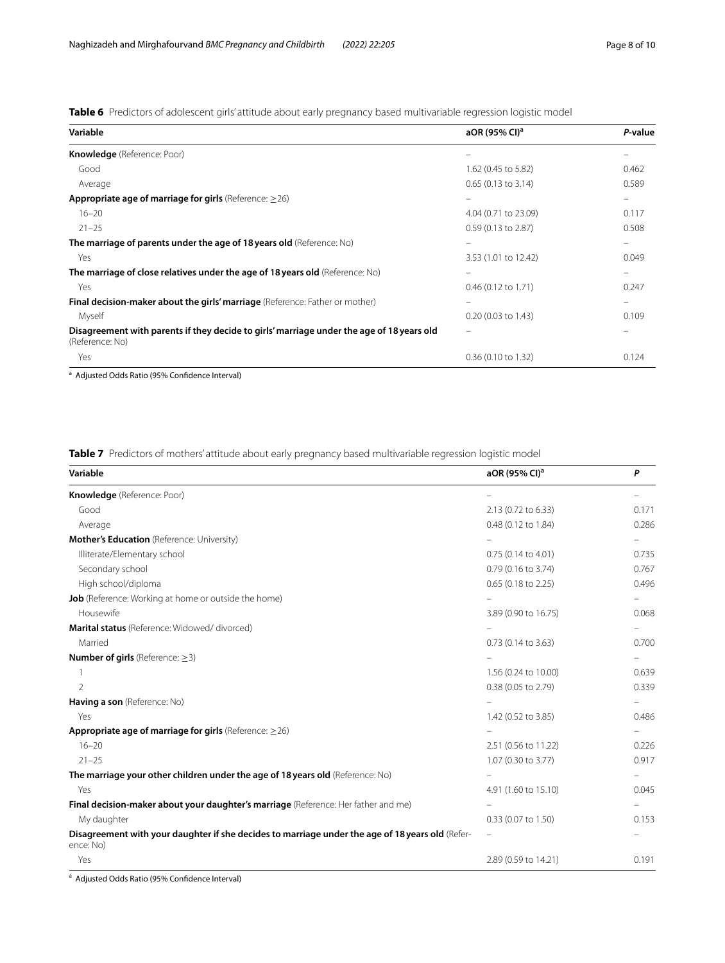<span id="page-7-0"></span>**Table 6** Predictors of adolescent girls' attitude about early pregnancy based multivariable regression logistic model

| Variable                                                                                                     | aOR (95% CI) <sup>a</sup>     | P-value |
|--------------------------------------------------------------------------------------------------------------|-------------------------------|---------|
| Knowledge (Reference: Poor)                                                                                  |                               |         |
| Good                                                                                                         | 1.62 (0.45 to 5.82)           | 0.462   |
| Average                                                                                                      | $0.65$ (0.13 to 3.14)         | 0.589   |
| <b>Appropriate age of marriage for girls</b> (Reference: $\geq$ 26)                                          |                               |         |
| $16 - 20$                                                                                                    | 4.04 (0.71 to 23.09)          | 0.117   |
| $21 - 25$                                                                                                    | $0.59(0.13 \text{ to } 2.87)$ | 0.508   |
| The marriage of parents under the age of 18 years old (Reference: No)                                        |                               |         |
| Yes                                                                                                          | 3.53 (1.01 to 12.42)          | 0.049   |
| The marriage of close relatives under the age of 18 years old (Reference: No)                                |                               |         |
| Yes                                                                                                          | $0.46$ (0.12 to 1.71)         | 0.247   |
| Final decision-maker about the girls' marriage (Reference: Father or mother)                                 |                               |         |
| Myself                                                                                                       | $0.20$ (0.03 to 1.43)         | 0.109   |
| Disagreement with parents if they decide to girls' marriage under the age of 18 years old<br>(Reference: No) |                               |         |
| Yes                                                                                                          | $0.36$ (0.10 to 1.32)         | 0.124   |

<sup>a</sup> Adjusted Odds Ratio (95% Confidence Interval)

<span id="page-7-1"></span>**Table 7** Predictors of mothers' attitude about early pregnancy based multivariable regression logistic model

| Variable                                                                                                      | aOR (95% CI) <sup>a</sup> | P                        |
|---------------------------------------------------------------------------------------------------------------|---------------------------|--------------------------|
| Knowledge (Reference: Poor)                                                                                   |                           |                          |
| Good                                                                                                          | 2.13 (0.72 to 6.33)       | 0.171                    |
| Average                                                                                                       | 0.48 (0.12 to 1.84)       | 0.286                    |
| Mother's Education (Reference: University)                                                                    |                           |                          |
| Illiterate/Elementary school                                                                                  | 0.75 (0.14 to 4.01)       | 0.735                    |
| Secondary school                                                                                              | 0.79 (0.16 to 3.74)       | 0.767                    |
| High school/diploma                                                                                           | 0.65 (0.18 to 2.25)       | 0.496                    |
| Job (Reference: Working at home or outside the home)                                                          |                           |                          |
| Housewife                                                                                                     | 3.89 (0.90 to 16.75)      | 0.068                    |
| Marital status (Reference: Widowed/ divorced)                                                                 |                           | -                        |
| Married                                                                                                       | 0.73 (0.14 to 3.63)       | 0.700                    |
| <b>Number of girls</b> (Reference: $\geq$ 3)                                                                  |                           |                          |
|                                                                                                               | 1.56 (0.24 to 10.00)      | 0.639                    |
| $\mathcal{L}$                                                                                                 | 0.38 (0.05 to 2.79)       | 0.339                    |
| Having a son (Reference: No)                                                                                  |                           | -                        |
| Yes                                                                                                           | 1.42 (0.52 to 3.85)       | 0.486                    |
| Appropriate age of marriage for girls (Reference: $\geq$ 26)                                                  |                           | -                        |
| $16 - 20$                                                                                                     | 2.51 (0.56 to 11.22)      | 0.226                    |
| $21 - 25$                                                                                                     | 1.07 (0.30 to 3.77)       | 0.917                    |
| The marriage your other children under the age of 18 years old (Reference: No)                                |                           | $\overline{\phantom{0}}$ |
| Yes                                                                                                           | 4.91 (1.60 to 15.10)      | 0.045                    |
| Final decision-maker about your daughter's marriage (Reference: Her father and me)                            |                           |                          |
| My daughter                                                                                                   | 0.33 (0.07 to 1.50)       | 0.153                    |
| Disagreement with your daughter if she decides to marriage under the age of 18 years old (Refer-<br>ence: No) |                           |                          |
| Yes                                                                                                           | 2.89 (0.59 to 14.21)      | 0.191                    |

<sup>a</sup> Adjusted Odds Ratio (95% Confidence Interval)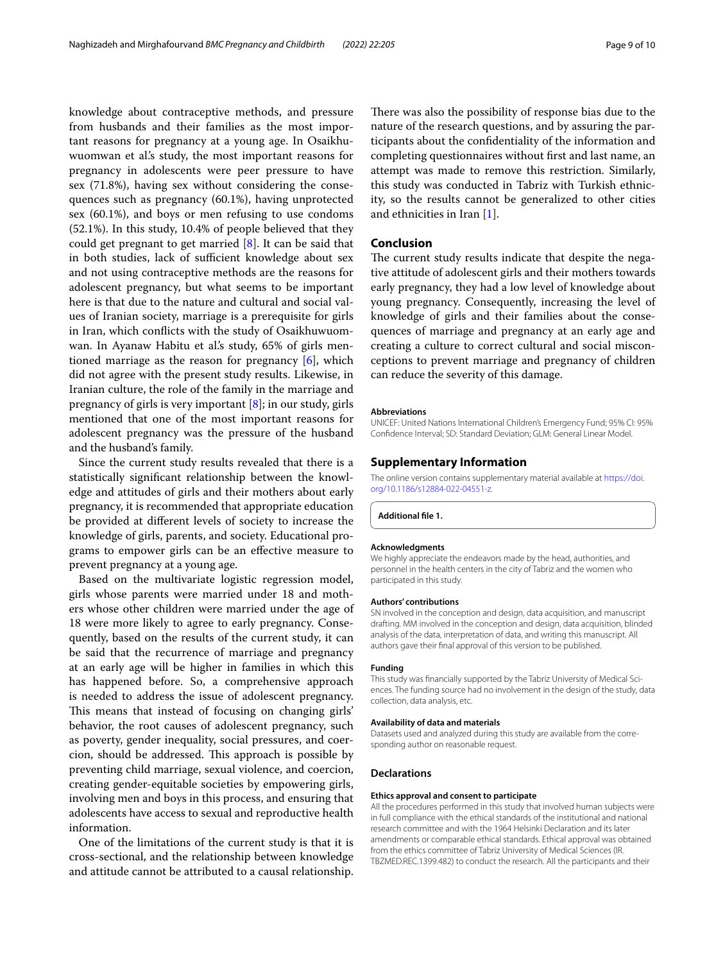knowledge about contraceptive methods, and pressure from husbands and their families as the most important reasons for pregnancy at a young age. In Osaikhuwuomwan et al.'s study, the most important reasons for pregnancy in adolescents were peer pressure to have sex (71.8%), having sex without considering the consequences such as pregnancy (60.1%), having unprotected sex (60.1%), and boys or men refusing to use condoms (52.1%). In this study, 10.4% of people believed that they could get pregnant to get married [[8\]](#page-9-7). It can be said that in both studies, lack of sufficient knowledge about sex and not using contraceptive methods are the reasons for adolescent pregnancy, but what seems to be important here is that due to the nature and cultural and social values of Iranian society, marriage is a prerequisite for girls in Iran, which conficts with the study of Osaikhuwuomwan. In Ayanaw Habitu et al.'s study, 65% of girls mentioned marriage as the reason for pregnancy [[6\]](#page-9-5), which did not agree with the present study results. Likewise, in Iranian culture, the role of the family in the marriage and pregnancy of girls is very important [[8](#page-9-7)]; in our study, girls mentioned that one of the most important reasons for adolescent pregnancy was the pressure of the husband and the husband's family.

Since the current study results revealed that there is a statistically signifcant relationship between the knowledge and attitudes of girls and their mothers about early pregnancy, it is recommended that appropriate education be provided at diferent levels of society to increase the knowledge of girls, parents, and society. Educational programs to empower girls can be an efective measure to prevent pregnancy at a young age.

Based on the multivariate logistic regression model, girls whose parents were married under 18 and mothers whose other children were married under the age of 18 were more likely to agree to early pregnancy. Consequently, based on the results of the current study, it can be said that the recurrence of marriage and pregnancy at an early age will be higher in families in which this has happened before. So, a comprehensive approach is needed to address the issue of adolescent pregnancy. This means that instead of focusing on changing girls' behavior, the root causes of adolescent pregnancy, such as poverty, gender inequality, social pressures, and coercion, should be addressed. This approach is possible by preventing child marriage, sexual violence, and coercion, creating gender-equitable societies by empowering girls, involving men and boys in this process, and ensuring that adolescents have access to sexual and reproductive health information.

One of the limitations of the current study is that it is cross-sectional, and the relationship between knowledge and attitude cannot be attributed to a causal relationship.

There was also the possibility of response bias due to the nature of the research questions, and by assuring the participants about the confdentiality of the information and completing questionnaires without frst and last name, an attempt was made to remove this restriction. Similarly, this study was conducted in Tabriz with Turkish ethnicity, so the results cannot be generalized to other cities and ethnicities in Iran [[1\]](#page-9-0).

#### **Conclusion**

The current study results indicate that despite the negative attitude of adolescent girls and their mothers towards early pregnancy, they had a low level of knowledge about young pregnancy. Consequently, increasing the level of knowledge of girls and their families about the consequences of marriage and pregnancy at an early age and creating a culture to correct cultural and social misconceptions to prevent marriage and pregnancy of children can reduce the severity of this damage.

#### **Abbreviations**

UNICEF: United Nations International Children's Emergency Fund; 95% CI: 95% Confdence Interval; SD: Standard Deviation; GLM: General Linear Model.

#### **Supplementary Information**

The online version contains supplementary material available at [https://doi.](https://doi.org/10.1186/s12884-022-04551-z) [org/10.1186/s12884-022-04551-z.](https://doi.org/10.1186/s12884-022-04551-z)

<span id="page-8-0"></span>**Additional fle 1.**

#### **Acknowledgments**

We highly appreciate the endeavors made by the head, authorities, and personnel in the health centers in the city of Tabriz and the women who participated in this study.

#### **Authors' contributions**

SN involved in the conception and design, data acquisition, and manuscript drafting. MM involved in the conception and design, data acquisition, blinded analysis of the data, interpretation of data, and writing this manuscript. All authors gave their fnal approval of this version to be published.

#### **Funding**

This study was fnancially supported by the Tabriz University of Medical Sciences. The funding source had no involvement in the design of the study, data collection, data analysis, etc.

#### **Availability of data and materials**

Datasets used and analyzed during this study are available from the corresponding author on reasonable request.

#### **Declarations**

#### **Ethics approval and consent to participate**

All the procedures performed in this study that involved human subjects were in full compliance with the ethical standards of the institutional and national research committee and with the 1964 Helsinki Declaration and its later amendments or comparable ethical standards. Ethical approval was obtained from the ethics committee of Tabriz University of Medical Sciences (IR. TBZMED.REC.1399.482) to conduct the research. All the participants and their